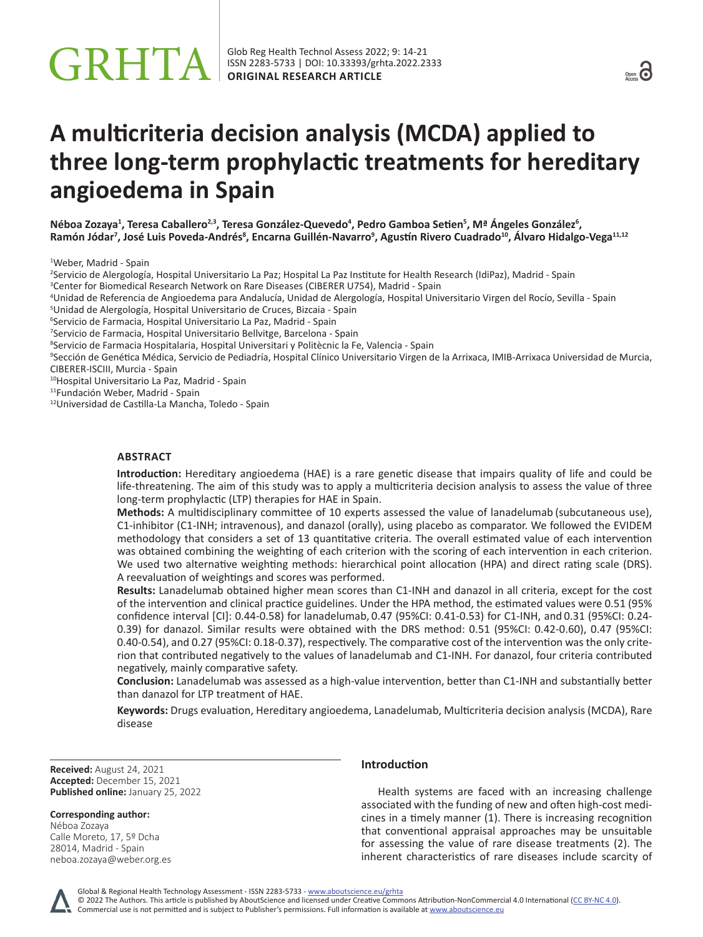# **A multicriteria decision analysis (MCDA) applied to three long-term prophylactic treatments for hereditary angioedema in Spain**

**Néboa Zozaya<sup>1</sup> , Teresa Caballero2,3, Teresa González-Quevedo<sup>4</sup> , Pedro Gamboa Setien<sup>5</sup> , Mª Ángeles González<sup>6</sup> , Ramón Jódar<sup>7</sup> , José Luis Poveda-Andrés<sup>8</sup> , Encarna Guillén-Navarro<sup>9</sup> , Agustín Rivero Cuadrado<sup>10</sup>, Álvaro Hidalgo-Vega11,12**

1 Weber, Madrid - Spain

2 Servicio de Alergología, Hospital Universitario La Paz; Hospital La Paz Institute for Health Research (IdiPaz), Madrid - Spain

3 Center for Biomedical Research Network on Rare Diseases (CIBERER U754), Madrid - Spain

4 Unidad de Referencia de Angioedema para Andalucía, Unidad de Alergología, Hospital Universitario Virgen del Rocío, Sevilla - Spain

5 Unidad de Alergología, Hospital Universitario de Cruces, Bizcaia - Spain

6 Servicio de Farmacia, Hospital Universitario La Paz, Madrid - Spain

7 Servicio de Farmacia, Hospital Universitario Bellvitge, Barcelona - Spain

8 Servicio de Farmacia Hospitalaria, Hospital Universitari y Politècnic la Fe, Valencia - Spain

9 Sección de Genética Médica, Servicio de Pediadría, Hospital Clínico Universitario Virgen de la Arrixaca, IMIB-Arrixaca Universidad de Murcia, CIBERER-ISCIII, Murcia - Spain

<sup>10</sup>Hospital Universitario La Paz, Madrid - Spain

<sup>11</sup>Fundación Weber, Madrid - Spain

<sup>12</sup>Universidad de Castilla-La Mancha, Toledo - Spain

# **ABSTRACT**

**Introduction:** Hereditary angioedema (HAE) is a rare genetic disease that impairs quality of life and could be life-threatening. The aim of this study was to apply a multicriteria decision analysis to assess the value of three long-term prophylactic (LTP) therapies for HAE in Spain.

**Methods:** A multidisciplinary committee of 10 experts assessed the value of lanadelumab (subcutaneous use), C1-inhibitor (C1-INH; intravenous), and danazol (orally), using placebo as comparator. We followed the EVIDEM methodology that considers a set of 13 quantitative criteria. The overall estimated value of each intervention was obtained combining the weighting of each criterion with the scoring of each intervention in each criterion. We used two alternative weighting methods: hierarchical point allocation (HPA) and direct rating scale (DRS). A reevaluation of weightings and scores was performed.

**Results:** Lanadelumab obtained higher mean scores than C1-INH and danazol in all criteria, except for the cost of the intervention and clinical practice guidelines. Under the HPA method, the estimated values were 0.51 (95% confidence interval [CI]: 0.44-0.58) for lanadelumab, 0.47 (95%CI: 0.41-0.53) for C1-INH, and 0.31 (95%CI: 0.24- 0.39) for danazol. Similar results were obtained with the DRS method: 0.51 (95%CI: 0.42-0.60), 0.47 (95%CI: 0.40-0.54), and 0.27 (95%CI: 0.18-0.37), respectively. The comparative cost of the intervention was the only criterion that contributed negatively to the values of lanadelumab and C1-INH. For danazol, four criteria contributed negatively, mainly comparative safety.

**Conclusion:** Lanadelumab was assessed as a high-value intervention, better than C1-INH and substantially better than danazol for LTP treatment of HAE.

**Keywords:** Drugs evaluation, Hereditary angioedema, Lanadelumab, Multicriteria decision analysis (MCDA), Rare disease

**Received:** August 24, 2021 **Accepted:** December 15, 2021 **Published online:** January 25, 2022

## **Corresponding author:**

Néboa Zozaya Calle Moreto, 17, 5º Dcha 28014, Madrid - Spain [neboa.zozaya@weber.org.es](mailto:neboa.zozaya@weber.org.es)

# **Introduction**

Health systems are faced with an increasing challenge associated with the funding of new and often high-cost medicines in a timely manner (1). There is increasing recognition that conventional appraisal approaches may be unsuitable for assessing the value of rare disease treatments (2). The inherent characteristics of rare diseases include scarcity of

Global & Regional Health Technology Assessment - ISSN 2283-5733 - www.aboutscience.eu/grhta

© 2022 The Authors. This article is published by AboutScience and licensed under Creative Commons Attribution-NonCommercial 4.0 International ([CC BY-NC 4.0](https://creativecommons.org/licenses/by-nc/4.0/legalcode)). Commercial use is not permitted and is subject to Publisher's permissions. Full information is available at www.aboutscience.eu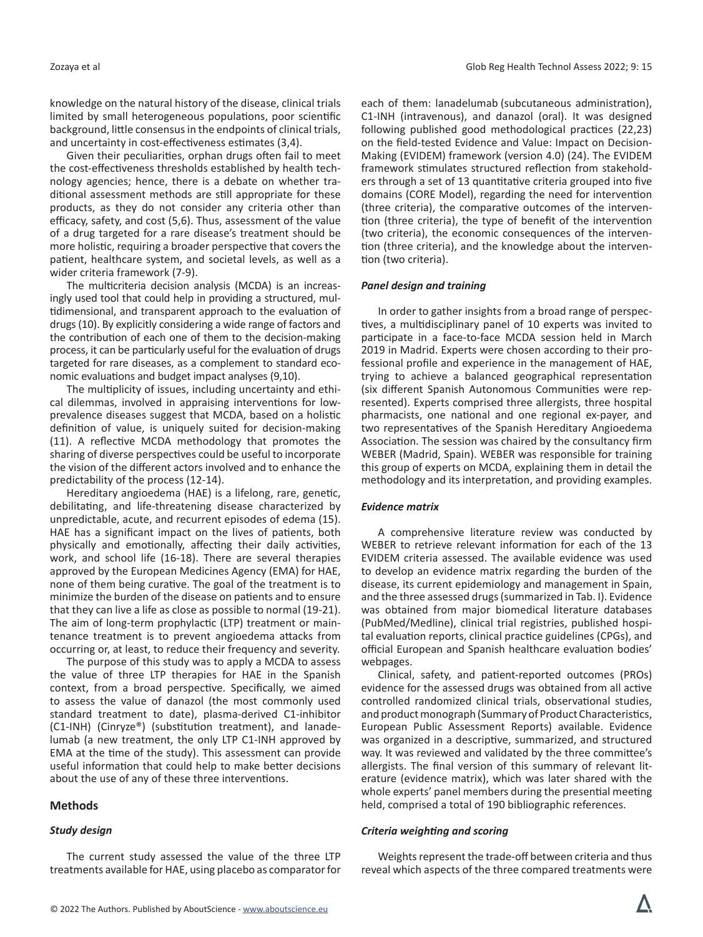knowledge on the natural history of the disease, clinical trials limited by small heterogeneous populations, poor scientific background, little consensus in the endpoints of clinical trials, and uncertainty in cost-effectiveness estimates (3,4).

Given their peculiarities, orphan drugs often fail to meet the cost-effectiveness thresholds established by health technology agencies; hence, there is a debate on whether traditional assessment methods are still appropriate for these products, as they do not consider any criteria other than efficacy, safety, and cost (5,6). Thus, assessment of the value of a drug targeted for a rare disease's treatment should be more holistic, requiring a broader perspective that covers the patient, healthcare system, and societal levels, as well as a wider criteria framework (7-9).

The multicriteria decision analysis (MCDA) is an increasingly used tool that could help in providing a structured, multidimensional, and transparent approach to the evaluation of drugs (10). By explicitly considering a wide range of factors and the contribution of each one of them to the decision-making process, it can be particularly useful for the evaluation of drugs targeted for rare diseases, as a complement to standard economic evaluations and budget impact analyses (9,10).

The multiplicity of issues, including uncertainty and ethical dilemmas, involved in appraising interventions for lowprevalence diseases suggest that MCDA, based on a holistic definition of value, is uniquely suited for decision-making (11). A reflective MCDA methodology that promotes the sharing of diverse perspectives could be useful to incorporate the vision of the different actors involved and to enhance the predictability of the process (12-14).

Hereditary angioedema (HAE) is a lifelong, rare, genetic, debilitating, and life-threatening disease characterized by unpredictable, acute, and recurrent episodes of edema (15). HAE has a significant impact on the lives of patients, both physically and emotionally, affecting their daily activities, work, and school life (16-18). There are several therapies approved by the European Medicines Agency (EMA) for HAE, none of them being curative. The goal of the treatment is to minimize the burden of the disease on patients and to ensure that they can live a life as close as possible to normal (19-21). The aim of long-term prophylactic (LTP) treatment or maintenance treatment is to prevent angioedema attacks from occurring or, at least, to reduce their frequency and severity.

The purpose of this study was to apply a MCDA to assess the value of three LTP therapies for HAE in the Spanish context, from a broad perspective. Specifically, we aimed to assess the value of danazol (the most commonly used standard treatment to date), plasma-derived C1-inhibitor (C1-INH) (Cinryze®) (substitution treatment), and lanadelumab (a new treatment, the only LTP C1-INH approved by EMA at the time of the study). This assessment can provide useful information that could help to make better decisions about the use of any of these three interventions.

## **Methods**

# *Study design*

The current study assessed the value of the three LTP treatments available for HAE, using placebo as comparator for each of them: lanadelumab (subcutaneous administration), C1-INH (intravenous), and danazol (oral). It was designed following published good methodological practices (22,23) on the field-tested Evidence and Value: Impact on Decision-Making (EVIDEM) framework (version 4.0) (24). The EVIDEM framework stimulates structured reflection from stakeholders through a set of 13 quantitative criteria grouped into five domains (CORE Model), regarding the need for intervention (three criteria), the comparative outcomes of the intervention (three criteria), the type of benefit of the intervention (two criteria), the economic consequences of the intervention (three criteria), and the knowledge about the intervention (two criteria).

#### *Panel design and training*

In order to gather insights from a broad range of perspectives, a multidisciplinary panel of 10 experts was invited to participate in a face-to-face MCDA session held in March 2019 in Madrid. Experts were chosen according to their professional profile and experience in the management of HAE, trying to achieve a balanced geographical representation (six different Spanish Autonomous Communities were represented). Experts comprised three allergists, three hospital pharmacists, one national and one regional ex-payer, and two representatives of the Spanish Hereditary Angioedema Association. The session was chaired by the consultancy firm WEBER (Madrid, Spain). WEBER was responsible for training this group of experts on MCDA, explaining them in detail the methodology and its interpretation, and providing examples.

## *Evidence matrix*

A comprehensive literature review was conducted by WEBER to retrieve relevant information for each of the 13 EVIDEM criteria assessed. The available evidence was used to develop an evidence matrix regarding the burden of the disease, its current epidemiology and management in Spain, and the three assessed drugs (summarized in Tab. I). Evidence was obtained from major biomedical literature databases (PubMed/Medline), clinical trial registries, published hospital evaluation reports, clinical practice guidelines (CPGs), and official European and Spanish healthcare evaluation bodies' webpages.

Clinical, safety, and patient-reported outcomes (PROs) evidence for the assessed drugs was obtained from all active controlled randomized clinical trials, observational studies, and product monograph (Summary of Product Characteristics, European Public Assessment Reports) available. Evidence was organized in a descriptive, summarized, and structured way. It was reviewed and validated by the three committee's allergists. The final version of this summary of relevant literature (evidence matrix), which was later shared with the whole experts' panel members during the presential meeting held, comprised a total of 190 bibliographic references.

#### *Criteria weighting and scoring*

Weights represent the trade-off between criteria and thus reveal which aspects of the three compared treatments were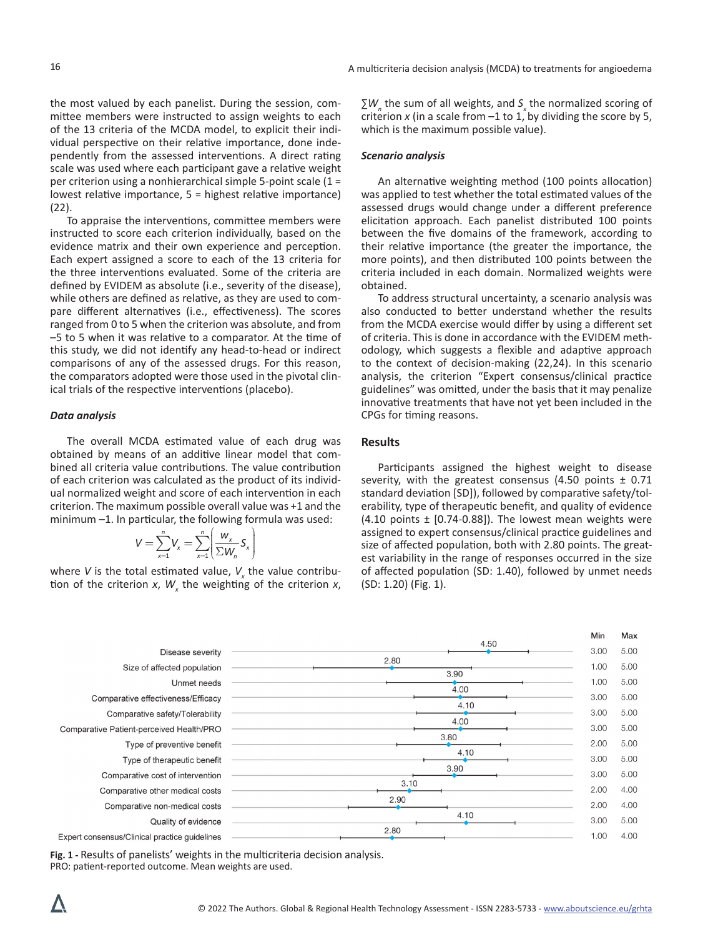the most valued by each panelist. During the session, committee members were instructed to assign weights to each of the 13 criteria of the MCDA model, to explicit their individual perspective on their relative importance, done independently from the assessed interventions. A direct rating scale was used where each participant gave a relative weight per criterion using a nonhierarchical simple 5-point scale (1 = lowest relative importance, 5 = highest relative importance) (22).

To appraise the interventions, committee members were instructed to score each criterion individually, based on the evidence matrix and their own experience and perception. Each expert assigned a score to each of the 13 criteria for the three interventions evaluated. Some of the criteria are defined by EVIDEM as absolute (i.e., severity of the disease), while others are defined as relative, as they are used to compare different alternatives (i.e., effectiveness). The scores ranged from 0 to 5 when the criterion was absolute, and from –5 to 5 when it was relative to a comparator. At the time of this study, we did not identify any head-to-head or indirect comparisons of any of the assessed drugs. For this reason, the comparators adopted were those used in the pivotal clinical trials of the respective interventions (placebo).

#### *Data analysis*

The overall MCDA estimated value of each drug was obtained by means of an additive linear model that combined all criteria value contributions. The value contribution of each criterion was calculated as the product of its individual normalized weight and score of each intervention in each criterion. The maximum possible overall value was +1 and the minimum –1. In particular, the following formula was used:

$$
V = \sum_{x=1}^n V_x = \sum_{x=1}^n \left( \frac{w_x}{\sum W_n} S_x \right)
$$

where *V* is the total estimated value,  $V_{\mathbf{x}}$  the value contribution of the criterion  $x$ ,  $W_{x}$  the weighting of the criterion  $x$ ,

∑*W*<sub>n</sub> the sum of all weights, and *S*<sub>x</sub> the normalized scoring of criterion *x* (in a scale from  $-1$  to 1, by dividing the score by 5, which is the maximum possible value).

#### *Scenario analysis*

An alternative weighting method (100 points allocation) was applied to test whether the total estimated values of the assessed drugs would change under a different preference elicitation approach. Each panelist distributed 100 points between the five domains of the framework, according to their relative importance (the greater the importance, the more points), and then distributed 100 points between the criteria included in each domain. Normalized weights were obtained.

To address structural uncertainty, a scenario analysis was also conducted to better understand whether the results from the MCDA exercise would differ by using a different set of criteria. This is done in accordance with the EVIDEM methodology, which suggests a flexible and adaptive approach to the context of decision-making (22,24). In this scenario analysis, the criterion "Expert consensus/clinical practice guidelines" was omitted, under the basis that it may penalize innovative treatments that have not yet been included in the CPGs for timing reasons.

## **Results**

Participants assigned the highest weight to disease severity, with the greatest consensus  $(4.50 \text{ points } \pm 0.71)$ standard deviation [SD]), followed by comparative safety/tolerability, type of therapeutic benefit, and quality of evidence (4.10 points  $\pm$  [0.74-0.88]). The lowest mean weights were assigned to expert consensus/clinical practice guidelines and size of affected population, both with 2.80 points. The greatest variability in the range of responses occurred in the size of affected population (SD: 1.40), followed by unmet needs (SD: 1.20) (Fig. 1).

|                                               |              | Min  | Max  |
|-----------------------------------------------|--------------|------|------|
| Disease severity                              | 4.50         | 3.00 | 5.00 |
| Size of affected population                   | 2.80<br>3.90 | 1.00 | 5.00 |
| Unmet needs                                   | 4.00         | 1.00 | 5.00 |
| Comparative effectiveness/Efficacy            | 4.10         | 3.00 | 5.00 |
| Comparative safety/Tolerability               |              | 3.00 | 5.00 |
| Comparative Patient-perceived Health/PRO      | 4.00         | 3.00 | 5.00 |
| Type of preventive benefit                    | 3.80         | 2.00 | 5.00 |
| Type of therapeutic benefit                   | 4.10         | 3.00 | 5.00 |
| Comparative cost of intervention              | 3.90         | 3.00 | 5.00 |
| Comparative other medical costs               | 3.10         | 2.00 | 4.00 |
| Comparative non-medical costs                 | 2.90         | 2.00 | 4.00 |
| Quality of evidence                           | 4.10         | 3.00 | 5.00 |
| Expert consensus/Clinical practice quidelines | 2.80         | 1.00 | 4.00 |

**Fig. 1 -** Results of panelists' weights in the multicriteria decision analysis. PRO: patient-reported outcome. Mean weights are used.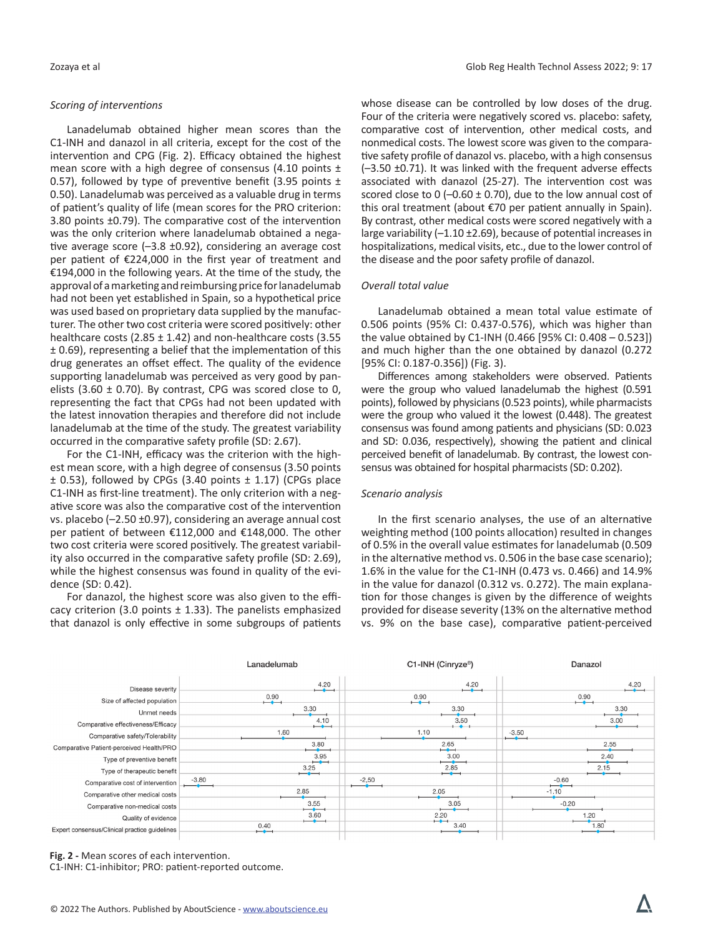## *Scoring of interventions*

Lanadelumab obtained higher mean scores than the C1-INH and danazol in all criteria, except for the cost of the intervention and CPG (Fig. 2). Efficacy obtained the highest mean score with a high degree of consensus (4.10 points ± 0.57), followed by type of preventive benefit (3.95 points  $\pm$ 0.50). Lanadelumab was perceived as a valuable drug in terms of patient's quality of life (mean scores for the PRO criterion: 3.80 points ±0.79). The comparative cost of the intervention was the only criterion where lanadelumab obtained a negative average score (–3.8 ±0.92), considering an average cost per patient of €224,000 in the first year of treatment and €194,000 in the following years. At the time of the study, the approval of a marketing and reimbursing price for lanadelumab had not been yet established in Spain, so a hypothetical price was used based on proprietary data supplied by the manufacturer. The other two cost criteria were scored positively: other healthcare costs (2.85  $\pm$  1.42) and non-healthcare costs (3.55 ± 0.69), representing a belief that the implementation of this drug generates an offset effect. The quality of the evidence supporting lanadelumab was perceived as very good by panelists (3.60  $\pm$  0.70). By contrast, CPG was scored close to 0, representing the fact that CPGs had not been updated with the latest innovation therapies and therefore did not include lanadelumab at the time of the study. The greatest variability occurred in the comparative safety profile (SD: 2.67).

For the C1-INH, efficacy was the criterion with the highest mean score, with a high degree of consensus (3.50 points  $\pm$  0.53), followed by CPGs (3.40 points  $\pm$  1.17) (CPGs place C1-INH as first-line treatment). The only criterion with a negative score was also the comparative cost of the intervention vs. placebo (–2.50 ±0.97), considering an average annual cost per patient of between €112,000 and €148,000. The other two cost criteria were scored positively. The greatest variability also occurred in the comparative safety profile (SD: 2.69), while the highest consensus was found in quality of the evidence (SD: 0.42).

For danazol, the highest score was also given to the efficacy criterion (3.0 points  $\pm$  1.33). The panelists emphasized that danazol is only effective in some subgroups of patients whose disease can be controlled by low doses of the drug. Four of the criteria were negatively scored vs. placebo: safety, comparative cost of intervention, other medical costs, and nonmedical costs. The lowest score was given to the comparative safety profile of danazol vs. placebo, with a high consensus (–3.50 ±0.71). It was linked with the frequent adverse effects associated with danazol (25-27). The intervention cost was scored close to 0 (-0.60  $\pm$  0.70), due to the low annual cost of this oral treatment (about €70 per patient annually in Spain). By contrast, other medical costs were scored negatively with a large variability (-1.10 ±2.69), because of potential increases in hospitalizations, medical visits, etc., due to the lower control of the disease and the poor safety profile of danazol.

## *Overall total value*

Lanadelumab obtained a mean total value estimate of 0.506 points (95% CI: 0.437-0.576), which was higher than the value obtained by C1-INH (0.466 [95% CI: 0.408 – 0.523]) and much higher than the one obtained by danazol (0.272 [95% CI: 0.187-0.356]) (Fig. 3).

Differences among stakeholders were observed. Patients were the group who valued lanadelumab the highest (0.591 points), followed by physicians (0.523 points), while pharmacists were the group who valued it the lowest (0.448). The greatest consensus was found among patients and physicians (SD: 0.023 and SD: 0.036, respectively), showing the patient and clinical perceived benefit of lanadelumab. By contrast, the lowest consensus was obtained for hospital pharmacists (SD: 0.202).

#### *Scenario analysis*

In the first scenario analyses, the use of an alternative weighting method (100 points allocation) resulted in changes of 0.5% in the overall value estimates for lanadelumab (0.509 in the alternative method vs. 0.506 in the base case scenario); 1.6% in the value for the C1-INH (0.473 vs. 0.466) and 14.9% in the value for danazol (0.312 vs. 0.272). The main explanation for those changes is given by the difference of weights provided for disease severity (13% on the alternative method vs. 9% on the base case), comparative patient-perceived



**Fig. 2 -** Mean scores of each intervention.

C1-INH: C1-inhibitor; PRO: patient-reported outcome.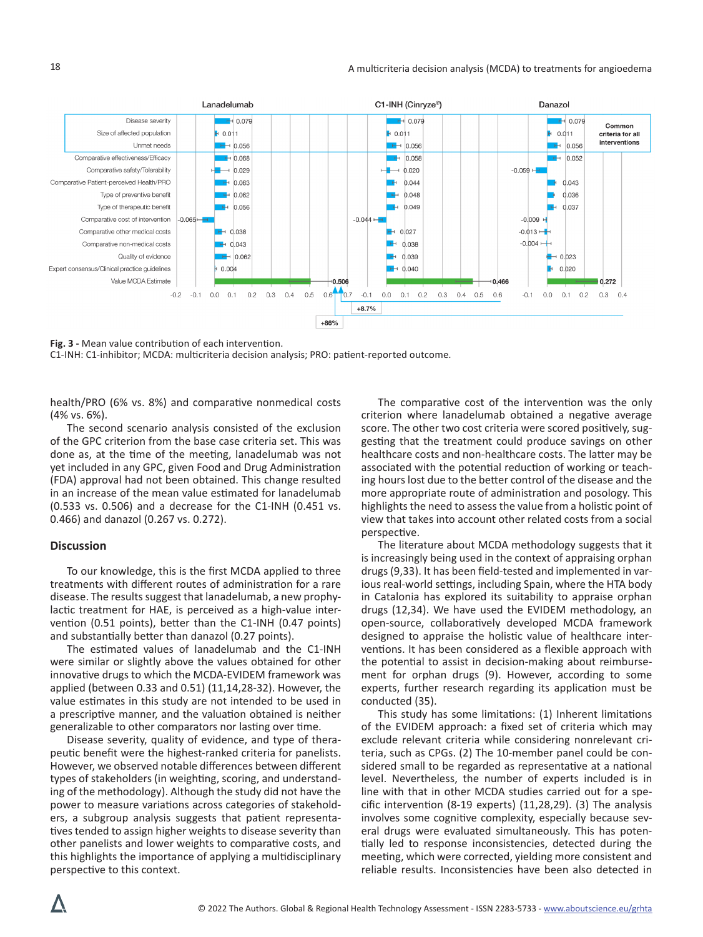

**Fig. 3 -** Mean value contribution of each intervention.

C1-INH: C1-inhibitor; MCDA: multicriteria decision analysis; PRO: patient-reported outcome.

health/PRO (6% vs. 8%) and comparative nonmedical costs (4% vs. 6%).

The second scenario analysis consisted of the exclusion of the GPC criterion from the base case criteria set. This was done as, at the time of the meeting, lanadelumab was not yet included in any GPC, given Food and Drug Administration (FDA) approval had not been obtained. This change resulted in an increase of the mean value estimated for lanadelumab (0.533 vs. 0.506) and a decrease for the C1-INH (0.451 vs. 0.466) and danazol (0.267 vs. 0.272).

## **Discussion**

To our knowledge, this is the first MCDA applied to three treatments with different routes of administration for a rare disease. The results suggest that lanadelumab, a new prophylactic treatment for HAE, is perceived as a high-value intervention (0.51 points), better than the C1-INH (0.47 points) and substantially better than danazol (0.27 points).

The estimated values of lanadelumab and the C1-INH were similar or slightly above the values obtained for other innovative drugs to which the MCDA-EVIDEM framework was applied (between 0.33 and 0.51) (11,14,28-32). However, the value estimates in this study are not intended to be used in a prescriptive manner, and the valuation obtained is neither generalizable to other comparators nor lasting over time.

Disease severity, quality of evidence, and type of therapeutic benefit were the highest-ranked criteria for panelists. However, we observed notable differences between different types of stakeholders (in weighting, scoring, and understanding of the methodology). Although the study did not have the power to measure variations across categories of stakeholders, a subgroup analysis suggests that patient representatives tended to assign higher weights to disease severity than other panelists and lower weights to comparative costs, and this highlights the importance of applying a multidisciplinary perspective to this context.

The comparative cost of the intervention was the only criterion where lanadelumab obtained a negative average score. The other two cost criteria were scored positively, suggesting that the treatment could produce savings on other healthcare costs and non-healthcare costs. The latter may be associated with the potential reduction of working or teaching hours lost due to the better control of the disease and the more appropriate route of administration and posology. This highlights the need to assess the value from a holistic point of view that takes into account other related costs from a social perspective.

The literature about MCDA methodology suggests that it is increasingly being used in the context of appraising orphan drugs (9,33). It has been field-tested and implemented in various real-world settings, including Spain, where the HTA body in Catalonia has explored its suitability to appraise orphan drugs (12,34). We have used the EVIDEM methodology, an open-source, collaboratively developed MCDA framework designed to appraise the holistic value of healthcare interventions. It has been considered as a flexible approach with the potential to assist in decision-making about reimbursement for orphan drugs (9). However, according to some experts, further research regarding its application must be conducted (35).

This study has some limitations: (1) Inherent limitations of the EVIDEM approach: a fixed set of criteria which may exclude relevant criteria while considering nonrelevant criteria, such as CPGs. (2) The 10-member panel could be considered small to be regarded as representative at a national level. Nevertheless, the number of experts included is in line with that in other MCDA studies carried out for a specific intervention (8-19 experts) (11,28,29). (3) The analysis involves some cognitive complexity, especially because several drugs were evaluated simultaneously. This has potentially led to response inconsistencies, detected during the meeting, which were corrected, yielding more consistent and reliable results. Inconsistencies have been also detected in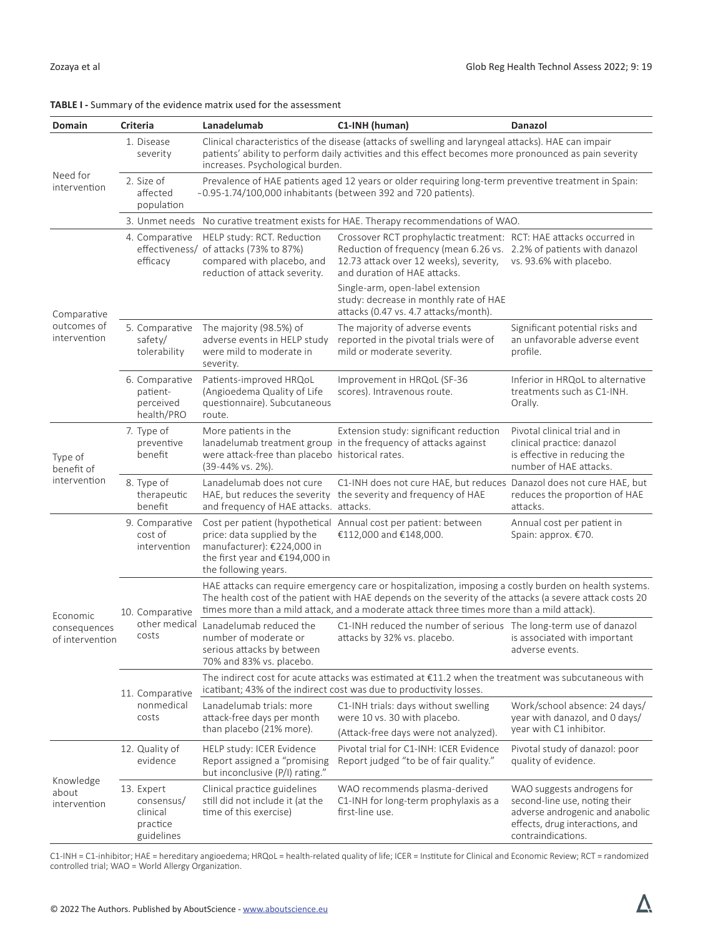$\boldsymbol{\nabla}$ 

| Domain                                      | <b>Criteria</b>                                                | Lanadelumab                                                                                                                                                                          | C1-INH (human)                                                                                                                                                                                                                                                                                                   | Danazol                                                                                                                                                 |  |  |
|---------------------------------------------|----------------------------------------------------------------|--------------------------------------------------------------------------------------------------------------------------------------------------------------------------------------|------------------------------------------------------------------------------------------------------------------------------------------------------------------------------------------------------------------------------------------------------------------------------------------------------------------|---------------------------------------------------------------------------------------------------------------------------------------------------------|--|--|
| Need for<br>intervention                    | 1. Disease<br>severity                                         | increases. Psychological burden.                                                                                                                                                     | Clinical characteristics of the disease (attacks of swelling and laryngeal attacks). HAE can impair<br>patients' ability to perform daily activities and this effect becomes more pronounced as pain severity                                                                                                    |                                                                                                                                                         |  |  |
|                                             | 2. Size of<br>affected<br>population                           | Prevalence of HAE patients aged 12 years or older requiring long-term preventive treatment in Spain:<br>~0.95-1.74/100,000 inhabitants (between 392 and 720 patients).               |                                                                                                                                                                                                                                                                                                                  |                                                                                                                                                         |  |  |
|                                             |                                                                |                                                                                                                                                                                      | 3. Unmet needs No curative treatment exists for HAE. Therapy recommendations of WAO.                                                                                                                                                                                                                             |                                                                                                                                                         |  |  |
| Comparative<br>outcomes of<br>intervention  | 4. Comparative<br>efficacy                                     | HELP study: RCT. Reduction<br>effectiveness/ of attacks (73% to 87%)<br>compared with placebo, and<br>reduction of attack severity.                                                  | Crossover RCT prophylactic treatment: RCT: HAE attacks occurred in<br>Reduction of frequency (mean 6.26 vs. 2.2% of patients with danazol<br>12.73 attack over 12 weeks), severity,<br>and duration of HAE attacks.                                                                                              | vs. 93.6% with placebo.                                                                                                                                 |  |  |
|                                             |                                                                |                                                                                                                                                                                      | Single-arm, open-label extension<br>study: decrease in monthly rate of HAE<br>attacks (0.47 vs. 4.7 attacks/month).                                                                                                                                                                                              |                                                                                                                                                         |  |  |
|                                             | 5. Comparative<br>safety/<br>tolerability                      | The majority (98.5%) of<br>adverse events in HELP study<br>were mild to moderate in<br>severity.                                                                                     | The majority of adverse events<br>reported in the pivotal trials were of<br>mild or moderate severity.                                                                                                                                                                                                           | Significant potential risks and<br>an unfavorable adverse event<br>profile.                                                                             |  |  |
|                                             | 6. Comparative<br>patient-<br>perceived<br>health/PRO          | Patients-improved HRQoL<br>(Angioedema Quality of Life<br>questionnaire). Subcutaneous<br>route.                                                                                     | Improvement in HRQoL (SF-36<br>scores). Intravenous route.                                                                                                                                                                                                                                                       | Inferior in HRQoL to alternative<br>treatments such as C1-INH.<br>Orally.                                                                               |  |  |
| Type of<br>benefit of<br>intervention       | 7. Type of<br>preventive<br>benefit                            | More patients in the<br>were attack-free than placebo historical rates.<br>(39-44% vs. 2%).                                                                                          | Extension study: significant reduction<br>lanadelumab treatment group in the frequency of attacks against                                                                                                                                                                                                        | Pivotal clinical trial and in<br>clinical practice: danazol<br>is effective in reducing the<br>number of HAE attacks.                                   |  |  |
|                                             | 8. Type of<br>therapeutic<br>benefit                           | Lanadelumab does not cure<br>and frequency of HAE attacks. attacks.                                                                                                                  | C1-INH does not cure HAE, but reduces Danazol does not cure HAE, but<br>HAE, but reduces the severity the severity and frequency of HAE                                                                                                                                                                          | reduces the proportion of HAE<br>attacks.                                                                                                               |  |  |
| Economic<br>consequences<br>of intervention | 9. Comparative<br>cost of<br>intervention                      | price: data supplied by the<br>manufacturer): €224,000 in<br>the first year and €194,000 in<br>the following years.                                                                  | Cost per patient (hypothetical Annual cost per patient: between<br>€112,000 and €148,000.                                                                                                                                                                                                                        | Annual cost per patient in<br>Spain: approx. €70.                                                                                                       |  |  |
|                                             | 10. Comparative                                                |                                                                                                                                                                                      | HAE attacks can require emergency care or hospitalization, imposing a costly burden on health systems.<br>The health cost of the patient with HAE depends on the severity of the attacks (a severe attack costs 20<br>times more than a mild attack, and a moderate attack three times more than a mild attack). |                                                                                                                                                         |  |  |
|                                             | other medical<br>costs                                         | Lanadelumab reduced the<br>number of moderate or<br>serious attacks by between<br>70% and 83% vs. placebo.                                                                           | C1-INH reduced the number of serious  The long-term use of danazol<br>attacks by 32% vs. placebo.                                                                                                                                                                                                                | is associated with important<br>adverse events.                                                                                                         |  |  |
|                                             | 11. Comparative                                                | The indirect cost for acute attacks was estimated at $\epsilon$ 11.2 when the treatment was subcutaneous with<br>icatibant; 43% of the indirect cost was due to productivity losses. |                                                                                                                                                                                                                                                                                                                  |                                                                                                                                                         |  |  |
|                                             | nonmedical<br>costs                                            | Lanadelumab trials: more<br>attack-free days per month<br>than placebo (21% more).                                                                                                   | C1-INH trials: days without swelling<br>were 10 vs. 30 with placebo.<br>(Attack-free days were not analyzed).                                                                                                                                                                                                    | Work/school absence: 24 days/<br>year with danazol, and 0 days/<br>year with C1 inhibitor.                                                              |  |  |
| Knowledge<br>about<br>intervention          | 12. Quality of<br>evidence                                     | HELP study: ICER Evidence<br>Report assigned a "promising<br>but inconclusive (P/I) rating."                                                                                         | Pivotal trial for C1-INH: ICER Evidence<br>Report judged "to be of fair quality."                                                                                                                                                                                                                                | Pivotal study of danazol: poor<br>quality of evidence.                                                                                                  |  |  |
|                                             | 13. Expert<br>consensus/<br>clinical<br>practice<br>guidelines | Clinical practice guidelines<br>still did not include it (at the<br>time of this exercise)                                                                                           | WAO recommends plasma-derived<br>C1-INH for long-term prophylaxis as a<br>first-line use.                                                                                                                                                                                                                        | WAO suggests androgens for<br>second-line use, noting their<br>adverse androgenic and anabolic<br>effects, drug interactions, and<br>contraindications. |  |  |

C1-INH = C1-inhibitor; HAE = hereditary angioedema; HRQoL = health-related quality of life; ICER = Institute for Clinical and Economic Review; RCT = randomized controlled trial; WAO = World Allergy Organization.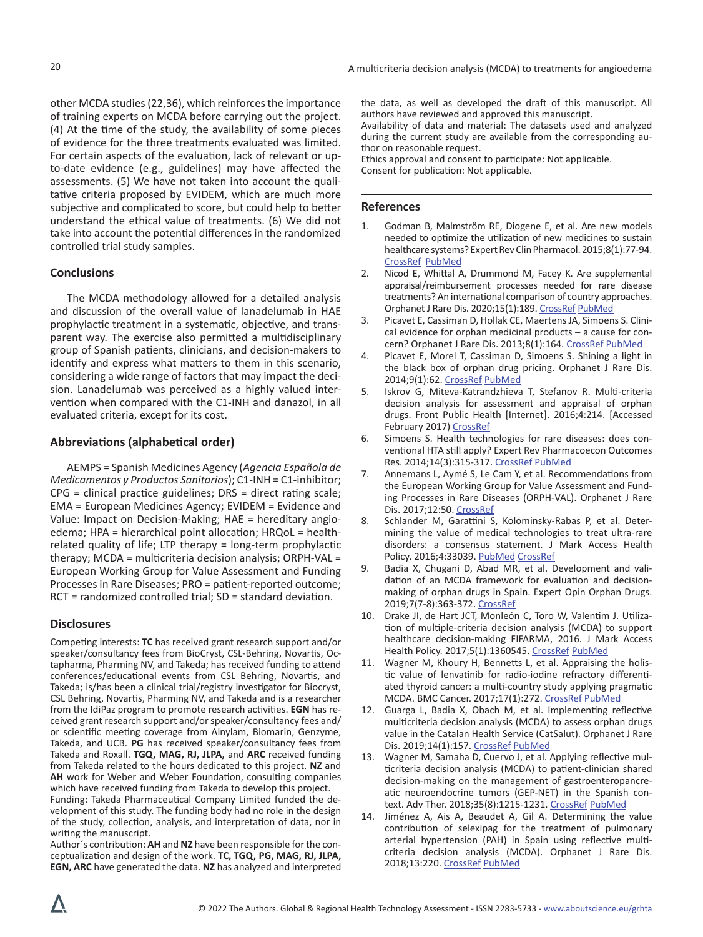other MCDA studies (22,36), which reinforces the importance of training experts on MCDA before carrying out the project. (4) At the time of the study, the availability of some pieces of evidence for the three treatments evaluated was limited. For certain aspects of the evaluation, lack of relevant or upto-date evidence (e.g., guidelines) may have affected the assessments. (5) We have not taken into account the qualitative criteria proposed by EVIDEM, which are much more subjective and complicated to score, but could help to better understand the ethical value of treatments. (6) We did not take into account the potential differences in the randomized controlled trial study samples.

# **Conclusions**

The MCDA methodology allowed for a detailed analysis and discussion of the overall value of lanadelumab in HAE prophylactic treatment in a systematic, objective, and transparent way. The exercise also permitted a multidisciplinary group of Spanish patients, clinicians, and decision-makers to identify and express what matters to them in this scenario, considering a wide range of factors that may impact the decision. Lanadelumab was perceived as a highly valued intervention when compared with the C1-INH and danazol, in all evaluated criteria, except for its cost.

## **Abbreviations (alphabetical order)**

AEMPS = Spanish Medicines Agency (*Agencia Española de Medicamentos y Productos Sanitarios*); C1-INH = C1-inhibitor; CPG = clinical practice guidelines; DRS = direct rating scale; EMA = European Medicines Agency; EVIDEM = Evidence and Value: Impact on Decision-Making; HAE = hereditary angioedema; HPA = hierarchical point allocation; HRQoL = healthrelated quality of life; LTP therapy = long-term prophylactic therapy; MCDA = multicriteria decision analysis; ORPH-VAL = European Working Group for Value Assessment and Funding Processes in Rare Diseases; PRO = patient-reported outcome; RCT = randomized controlled trial; SD = standard deviation.

## **Disclosures**

Competing interests: **TC** has received grant research support and/or speaker/consultancy fees from BioCryst, CSL-Behring, Novartis, Octapharma, Pharming NV, and Takeda; has received funding to attend conferences/educational events from CSL Behring, Novartis, and Takeda; is/has been a clinical trial/registry investigator for Biocryst, CSL Behring, Novartis, Pharming NV, and Takeda and is a researcher from the IdiPaz program to promote research activities. **EGN** has received grant research support and/or speaker/consultancy fees and/ or scientific meeting coverage from Alnylam, Biomarin, Genzyme, Takeda, and UCB. **PG** has received speaker/consultancy fees from Takeda and Roxall. **TGQ, MAG, RJ, JLPA,** and **ARC** received funding from Takeda related to the hours dedicated to this project. **NZ** and **AH** work for Weber and Weber Foundation, consulting companies which have received funding from Takeda to develop this project.

Funding: Takeda Pharmaceutical Company Limited funded the development of this study. The funding body had no role in the design of the study, collection, analysis, and interpretation of data, nor in writing the manuscript.

Author´s contribution: **AH** and **NZ** have been responsible for the conceptualization and design of the work. **TC, TGQ, PG, MAG, RJ, JLPA, EGN, ARC** have generated the data. **NZ** has analyzed and interpreted the data, as well as developed the draft of this manuscript. All authors have reviewed and approved this manuscript. Availability of data and material: The datasets used and analyzed during the current study are available from the corresponding author on reasonable request. Ethics approval and consent to participate: Not applicable.

Consent for publication: Not applicable.

#### **References**

- 1. Godman B, Malmström RE, Diogene E, et al. Are new models needed to optimize the utilization of new medicines to sustain healthcare systems? Expert Rev Clin Pharmacol. 2015;8(1):77-94. [CrossRef](https://doi.org/10.1586/17512433.2015.990380) [PubMed](https://pubmed.ncbi.nlm.nih.gov/25487078/)
- 2. Nicod E, Whittal A, Drummond M, Facey K. Are supplemental appraisal/reimbursement processes needed for rare disease treatments? An international comparison of country approaches. Orphanet J Rare Dis. 2020;15(1):189. [CrossRef](https://doi.org/10.1186/s13023-020-01462-0) [PubMed](https://pubmed.ncbi.nlm.nih.gov/32690107/)
- 3. Picavet E, Cassiman D, Hollak CE, Maertens JA, Simoens S. Clinical evidence for orphan medicinal products – a cause for concern? Orphanet J Rare Dis. 2013;8(1):164. [CrossRef](https://doi.org/10.1186/1750-1172-8-164) [PubMed](https://www.ncbi.nlm.nih.gov/pubmed/24131572)
- 4. Picavet E, Morel T, Cassiman D, Simoens S. Shining a light in the black box of orphan drug pricing. Orphanet J Rare Dis. 2014;9(1):62. [CrossRef](https://doi.org/10.1186/1750-1172-9-62) [PubMed](https://www.ncbi.nlm.nih.gov/pubmed/24767472)
- 5. Iskrov G, Miteva-Katrandzhieva T, Stefanov R. Multi-criteria decision analysis for assessment and appraisal of orphan drugs. Front Public Health [Internet]. 2016;4:214. [Accessed February 2017) [CrossRef](https://doi.org/10.3389/fpubh.2016.00214)
- 6. Simoens S. Health technologies for rare diseases: does conventional HTA still apply? Expert Rev Pharmacoecon Outcomes Res. 2014;14(3):315-317. [CrossRef](https://doi.org/10.1586/14737167.2014.906903) [PubMed](https://www.ncbi.nlm.nih.gov/pubmed/24702042)
- 7. Annemans L, Aymé S, Le Cam Y, et al. Recommendations from the European Working Group for Value Assessment and Funding Processes in Rare Diseases (ORPH-VAL). Orphanet J Rare Dis. 2017;12:50. [CrossRef](https://doi.org/10.1186/s13023-017-0601-9)
- Schlander M, Garattini S, Kolominsky-Rabas P, et al. Determining the value of medical technologies to treat ultra-rare disorders: a consensus statement. [J Mark Access Health](https://www.ncbi.nlm.nih.gov/pmc/articles/PMC5087264/)  [Policy.](https://www.ncbi.nlm.nih.gov/pmc/articles/PMC5087264/) 2016;4:33039. [PubMed](https://pubmed.ncbi.nlm.nih.gov/27857828/) [CrossRef](https://doi.org/10.3402/jmahp.v4.33039)
- 9. Badia X, Chugani D, Abad MR, et al. Development and validation of an MCDA framework for evaluation and decisionmaking of orphan drugs in Spain. Expert Opin Orphan Drugs. 2019;7(7-8):363-372. [CrossRef](https://doi.org/10.1080/21678707.2019.1652163)
- 10. Drake JI, de Hart JCT, Monleón C, Toro W, Valentim J. Utilization of multiple-criteria decision analysis (MCDA) to support healthcare decision-making FIFARMA, 2016. J Mark Access Health Policy. 2017;5(1):1360545. [CrossRef](https://doi.org/10.1080/20016689.2017.1360545) [PubMed](https://www.ncbi.nlm.nih.gov/pubmed/29081919)
- 11. Wagner M, Khoury H, Bennetts L, et al. Appraising the holistic value of lenvatinib for radio-iodine refractory differentiated thyroid cancer: a multi-country study applying pragmatic MCDA. BMC Cancer. 2017;17(1):272. [CrossRef](https://doi.org/10.1186/s12885-017-3258-9) [PubMed](https://www.ncbi.nlm.nih.gov/pubmed/28412971)
- 12. Guarga L, Badia X, Obach M, et al. Implementing reflective multicriteria decision analysis (MCDA) to assess orphan drugs value in the Catalan Health Service (CatSalut). Orphanet J Rare Dis. 2019;14(1):157. [CrossRef](https://doi.org/10.1186/s13023-019-1121-6) [PubMed](https://www.ncbi.nlm.nih.gov/pubmed/31248421)
- 13. Wagner M, Samaha D, Cuervo J, et al. Applying reflective multicriteria decision analysis (MCDA) to patient-clinician shared decision-making on the management of gastroenteropancreatic neuroendocrine tumors (GEP-NET) in the Spanish con-text. Adv Ther. 2018;35(8):1215-1231. [CrossRef](https://doi.org/10.1007/s12325-018-0745-6) [PubMed](https://www.ncbi.nlm.nih.gov/pubmed/29987525)
- 14. Jiménez A, Ais A, Beaudet A, Gil A. Determining the value contribution of selexipag for the treatment of pulmonary arterial hypertension (PAH) in Spain using reflective multicriteria decision analysis (MCDA). Orphanet J Rare Dis. 2018;13:220. [CrossRef](https://doi.org/10.1186/s13023-018-0966-4) [PubMed](https://pubmed.ncbi.nlm.nih.gov/30526673/)